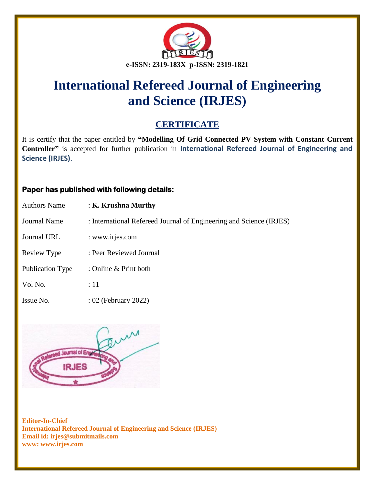

# **International Refereed Journal of Engineering and Science (IRJES)**

## **CERTIFICATE**

It is certify that the paper entitled by **"Modelling Of Grid Connected PV System with Constant Current Controller"** is accepted for further publication in **International Refereed Journal of Engineering and Science (IRJES)**.

### **Paper has published with following details:**

| <b>Authors Name</b> | : K. Krushna Murthy                                                 |
|---------------------|---------------------------------------------------------------------|
| <b>Journal Name</b> | : International Refereed Journal of Engineering and Science (IRJES) |
| Journal URL         | : www.irjes.com                                                     |
| Review Type         | : Peer Reviewed Journal                                             |
| Publication Type    | : Online $&$ Print both                                             |
| Vol No.             | :11                                                                 |
| Issue No.           | : 02 (February 2022)                                                |



**Editor-In-Chief International Refereed Journal of Engineering and Science (IRJES) Email id: irjes@submitmails.com www: www.irjes.com**